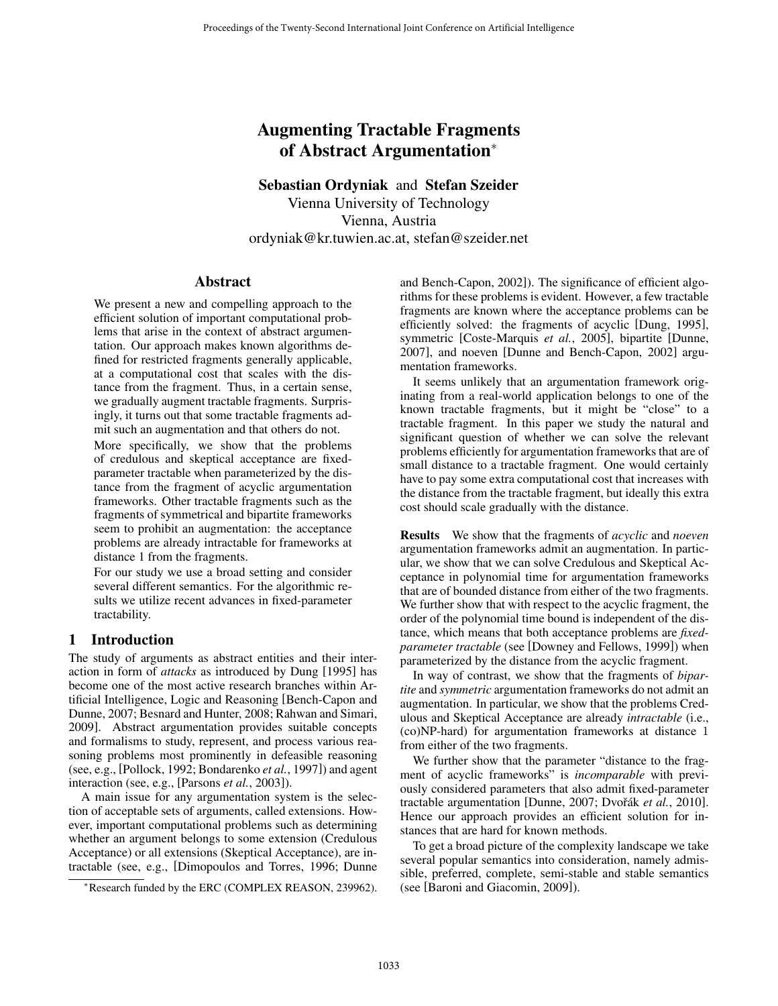# Augmenting Tractable Fragments of Abstract Argumentation<sup>∗</sup>

Sebastian Ordyniak and Stefan Szeider Vienna University of Technology Vienna, Austria ordyniak@kr.tuwien.ac.at, stefan@szeider.net

### Abstract

We present a new and compelling approach to the efficient solution of important computational problems that arise in the context of abstract argumentation. Our approach makes known algorithms defined for restricted fragments generally applicable, at a computational cost that scales with the distance from the fragment. Thus, in a certain sense, we gradually augment tractable fragments. Surprisingly, it turns out that some tractable fragments admit such an augmentation and that others do not.

More specifically, we show that the problems of credulous and skeptical acceptance are fixedparameter tractable when parameterized by the distance from the fragment of acyclic argumentation frameworks. Other tractable fragments such as the fragments of symmetrical and bipartite frameworks seem to prohibit an augmentation: the acceptance problems are already intractable for frameworks at distance 1 from the fragments.

For our study we use a broad setting and consider several different semantics. For the algorithmic results we utilize recent advances in fixed-parameter tractability.

### 1 Introduction

The study of arguments as abstract entities and their interaction in form of *attacks* as introduced by Dung [1995] has become one of the most active research branches within Artificial Intelligence, Logic and Reasoning [Bench-Capon and Dunne, 2007; Besnard and Hunter, 2008; Rahwan and Simari, 2009]. Abstract argumentation provides suitable concepts and formalisms to study, represent, and process various reasoning problems most prominently in defeasible reasoning (see, e.g., [Pollock, 1992; Bondarenko *et al.*, 1997]) and agent interaction (see, e.g., [Parsons *et al.*, 2003]).

A main issue for any argumentation system is the selection of acceptable sets of arguments, called extensions. However, important computational problems such as determining whether an argument belongs to some extension (Credulous Acceptance) or all extensions (Skeptical Acceptance), are intractable (see, e.g., [Dimopoulos and Torres, 1996; Dunne

<sup>∗</sup>Research funded by the ERC (COMPLEX REASON, 239962).

and Bench-Capon, 2002]). The significance of efficient algorithms for these problems is evident. However, a few tractable fragments are known where the acceptance problems can be efficiently solved: the fragments of acyclic [Dung, 1995], symmetric [Coste-Marquis *et al.*, 2005], bipartite [Dunne, 2007], and noeven [Dunne and Bench-Capon, 2002] argumentation frameworks.

It seems unlikely that an argumentation framework originating from a real-world application belongs to one of the known tractable fragments, but it might be "close" to a tractable fragment. In this paper we study the natural and significant question of whether we can solve the relevant problems efficiently for argumentation frameworks that are of small distance to a tractable fragment. One would certainly have to pay some extra computational cost that increases with the distance from the tractable fragment, but ideally this extra cost should scale gradually with the distance.

Results We show that the fragments of *acyclic* and *noeven* argumentation frameworks admit an augmentation. In particular, we show that we can solve Credulous and Skeptical Acceptance in polynomial time for argumentation frameworks that are of bounded distance from either of the two fragments. We further show that with respect to the acyclic fragment, the order of the polynomial time bound is independent of the distance, which means that both acceptance problems are *fixedparameter tractable* (see [Downey and Fellows, 1999]) when parameterized by the distance from the acyclic fragment.

In way of contrast, we show that the fragments of *bipartite* and *symmetric* argumentation frameworks do not admit an augmentation. In particular, we show that the problems Credulous and Skeptical Acceptance are already *intractable* (i.e., (co)NP-hard) for argumentation frameworks at distance 1 from either of the two fragments.

We further show that the parameter "distance to the fragment of acyclic frameworks" is *incomparable* with previously considered parameters that also admit fixed-parameter tractable argumentation [Dunne, 2007; Dvořák et al., 2010]. Hence our approach provides an efficient solution for instances that are hard for known methods.

To get a broad picture of the complexity landscape we take several popular semantics into consideration, namely admissible, preferred, complete, semi-stable and stable semantics (see [Baroni and Giacomin, 2009]).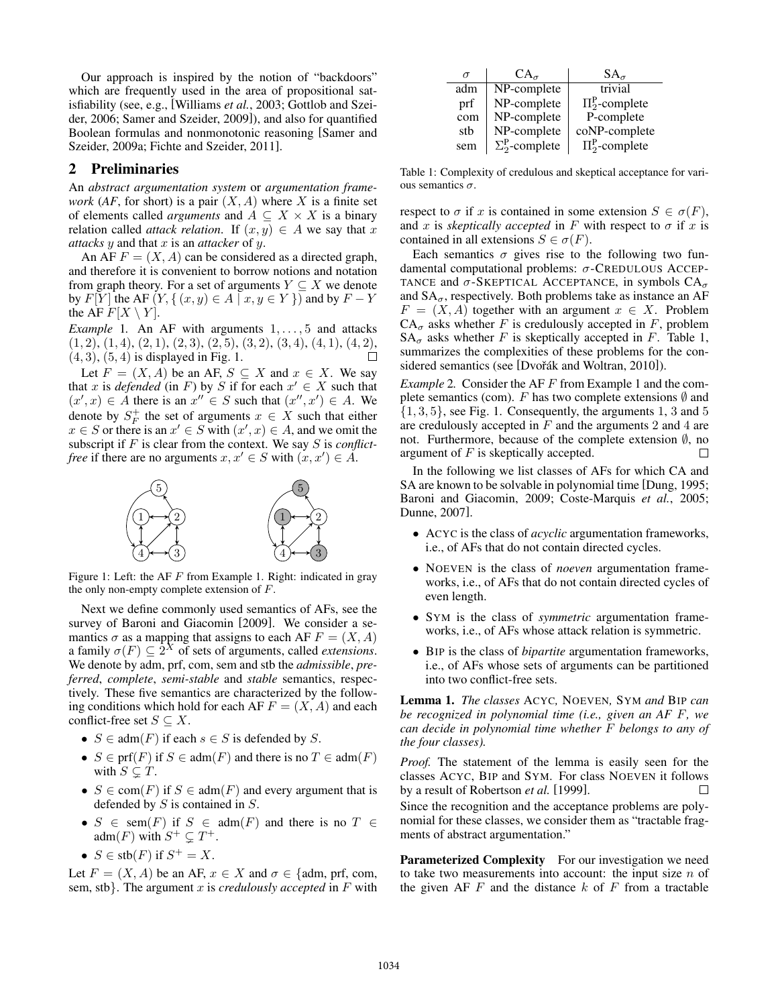Our approach is inspired by the notion of "backdoors" which are frequently used in the area of propositional satisfiability (see, e.g., [Williams *et al.*, 2003; Gottlob and Szeider, 2006; Samer and Szeider, 2009]), and also for quantified Boolean formulas and nonmonotonic reasoning [Samer and Szeider, 2009a; Fichte and Szeider, 2011].

## 2 Preliminaries

An *abstract argumentation system* or *argumentation framework* (*AF*, for short) is a pair  $(X, A)$  where X is a finite set of elements called *arguments* and  $A \subseteq X \times X$  is a binary relation called *attack relation*. If  $(x, y) \in A$  we say that x *attacks* y and that x is an *attacker* of y.

An AF  $F = (X, A)$  can be considered as a directed graph, and therefore it is convenient to borrow notions and notation from graph theory. For a set of arguments  $Y \subseteq X$  we denote by  $F[Y]$  the AF  $(Y, \{ (x, y) \in A \mid x, y \in Y \})$  and by  $F - Y$ the AF  $F[X \setminus Y]$ .

*Example* 1. An AF with arguments  $1, \ldots, 5$  and attacks  $(1, 2), (1, 4), (2, 1), (2, 3), (2, 5), (3, 2), (3, 4), (4, 1), (4, 2),$  $(4, 3), (5, 4)$  is displayed in Fig. 1. П

Let  $F = (X, A)$  be an AF,  $S \subseteq X$  and  $x \in X$ . We say that x is *defended* (in F) by S if for each  $x' \in X$  such that  $(x',x) \in A$  there is an  $x'' \in S$  such that  $(x'',x') \in A$ . We denote by  $S_F^+$  the set of arguments  $x \in X$  such that either  $x \in S$  or there is an  $x' \in S$  with  $(x', x) \in A$ , and we omit the subscript if F is clear from the context. We say S is *conflictfree* if there are no arguments  $x, x' \in S$  with  $(x, x') \in A$ .



Figure 1: Left: the AF  $F$  from Example 1. Right: indicated in gray the only non-empty complete extension of  $F$ .

Next we define commonly used semantics of AFs, see the survey of Baroni and Giacomin [2009]. We consider a semantics  $\sigma$  as a mapping that assigns to each AF  $F = (X, A)$ a family  $\sigma(F) \subseteq 2^X$  of sets of arguments, called *extensions*. We denote by adm, prf, com, sem and stb the *admissible*, *preferred*, *complete*, *semi-stable* and *stable* semantics, respectively. These five semantics are characterized by the following conditions which hold for each AF  $F = (X, A)$  and each conflict-free set  $S \subseteq X$ .

- $S \in \text{adm}(F)$  if each  $s \in S$  is defended by S.
- $S \in \text{prf}(F)$  if  $S \in \text{adm}(F)$  and there is no  $T \in \text{adm}(F)$ with  $S \subsetneq T$ .
- $S \in \text{com}(F)$  if  $S \in \text{adm}(F)$  and every argument that is defended by  $S$  is contained in  $S$ .
- $S \in \text{sem}(F)$  if  $S \in \text{adm}(F)$  and there is no  $T \in$  $adm(F)$  with  $S^+ \subsetneq T^+$ .
- $S \in \text{stb}(F)$  if  $S^+ = X$ .

Let  $F = (X, A)$  be an AF,  $x \in X$  and  $\sigma \in \{$ adm, prf, com, sem, stb}. The argument x is *credulously accepted* in F with

| $\sigma$ | $CA_{\sigma}$                | $SA_{\sigma}$             |
|----------|------------------------------|---------------------------|
| adm      | NP-complete                  | trivial                   |
| prf      | NP-complete                  | $\Pi_2^{\rm P}$ -complete |
| com      | NP-complete                  | P-complete                |
| stb      | NP-complete                  | coNP-complete             |
| sem      | $\Sigma_2^{\rm P}$ -complete | $\Pi_2^{\rm P}$ -complete |

Table 1: Complexity of credulous and skeptical acceptance for various semantics  $\sigma$ .

respect to  $\sigma$  if x is contained in some extension  $S \in \sigma(F)$ , and x is *skeptically accepted* in F with respect to  $\sigma$  if x is contained in all extensions  $S \in \sigma(F)$ .

Each semantics  $\sigma$  gives rise to the following two fundamental computational problems: σ-CREDULOUS ACCEP-TANCE and  $\sigma$ -SKEPTICAL ACCEPTANCE, in symbols  $CA_{\sigma}$ and  $SA_{\sigma}$ , respectively. Both problems take as instance an AF  $F = (X, A)$  together with an argument  $x \in X$ . Problem  $CA_{\sigma}$  asks whether F is credulously accepted in F, problem  $SA_{\sigma}$  asks whether F is skeptically accepted in F. Table 1, summarizes the complexities of these problems for the considered semantics (see [Dvořák and Woltran, 2010]).

*Example* 2*.* Consider the AF F from Example 1 and the complete semantics (com). F has two complete extensions  $\emptyset$  and  $\{1, 3, 5\}$ , see Fig. 1. Consequently, the arguments 1, 3 and 5 are credulously accepted in  $F$  and the arguments 2 and 4 are not. Furthermore, because of the complete extension  $\emptyset$ , no<br>argument of F is skeptically accepted. argument of  $F$  is skeptically accepted.

In the following we list classes of AFs for which CA and SA are known to be solvable in polynomial time [Dung, 1995; Baroni and Giacomin, 2009; Coste-Marquis *et al.*, 2005; Dunne, 2007].

- ACYC is the class of *acyclic* argumentation frameworks, i.e., of AFs that do not contain directed cycles.
- NOEVEN is the class of *noeven* argumentation frameworks, i.e., of AFs that do not contain directed cycles of even length.
- SYM is the class of *symmetric* argumentation frameworks, i.e., of AFs whose attack relation is symmetric.
- BIP is the class of *bipartite* argumentation frameworks, i.e., of AFs whose sets of arguments can be partitioned into two conflict-free sets.

Lemma 1. *The classes* ACYC*,* NOEVEN*,* SYM *and* BIP *can be recognized in polynomial time (i.e., given an AF* F*, we can decide in polynomial time whether* F *belongs to any of the four classes).*

*Proof.* The statement of the lemma is easily seen for the classes ACYC, BIP and SYM. For class NOEVEN it follows by a result of Robertson *et al.* [1999]. П

Since the recognition and the acceptance problems are polynomial for these classes, we consider them as "tractable fragments of abstract argumentation."

Parameterized Complexity For our investigation we need to take two measurements into account: the input size  $n$  of the given AF  $F$  and the distance  $k$  of  $F$  from a tractable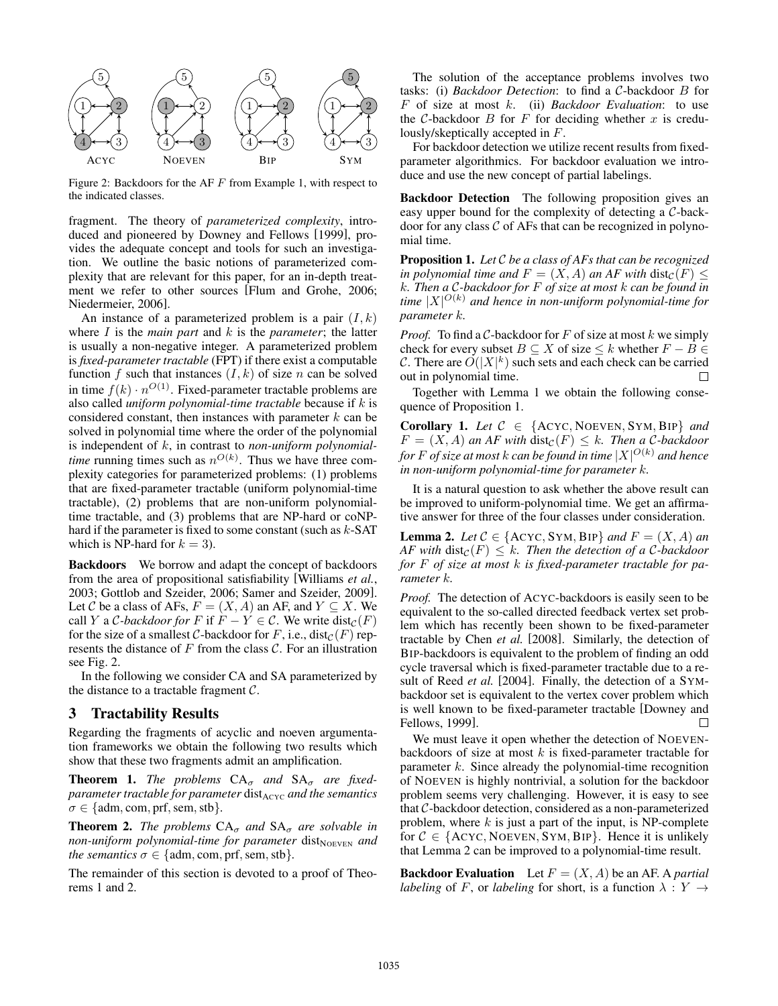

Figure 2: Backdoors for the AF F from Example 1, with respect to the indicated classes.

fragment. The theory of *parameterized complexity*, introduced and pioneered by Downey and Fellows [1999], provides the adequate concept and tools for such an investigation. We outline the basic notions of parameterized complexity that are relevant for this paper, for an in-depth treatment we refer to other sources [Flum and Grohe, 2006; Niedermeier, 2006].

An instance of a parameterized problem is a pair  $(I, k)$ where I is the *main part* and k is the *parameter*; the latter is usually a non-negative integer. A parameterized problem is *fixed-parameter tractable* (FPT) if there exist a computable function f such that instances  $(I, k)$  of size n can be solved in time  $f(k) \cdot n^{O(1)}$ . Fixed-parameter tractable problems are also called *uniform polynomial-time tractable* because if k is considered constant, then instances with parameter  $k$  can be solved in polynomial time where the order of the polynomial is independent of k, in contrast to *non-uniform polynomialtime* running times such as  $n^{O(k)}$ . Thus we have three complexity categories for parameterized problems: (1) problems that are fixed-parameter tractable (uniform polynomial-time tractable), (2) problems that are non-uniform polynomialtime tractable, and (3) problems that are NP-hard or coNPhard if the parameter is fixed to some constant (such as  $k$ -SAT which is NP-hard for  $k = 3$ ).

Backdoors We borrow and adapt the concept of backdoors from the area of propositional satisfiability [Williams *et al.*, 2003; Gottlob and Szeider, 2006; Samer and Szeider, 2009]. Let C be a class of AFs,  $F = (X, A)$  an AF, and  $Y \subseteq X$ . We call Y a C-backdoor for F if  $F - Y \in \mathcal{C}$ . We write  $dist_{\mathcal{C}}(F)$ for the size of a smallest C-backdoor for F, i.e., dist $_{\mathcal{C}}(F)$  represents the distance of  $F$  from the class  $C$ . For an illustration see Fig. 2.

In the following we consider CA and SA parameterized by the distance to a tractable fragment  $C$ .

# 3 Tractability Results

Regarding the fragments of acyclic and noeven argumentation frameworks we obtain the following two results which show that these two fragments admit an amplification.

**Theorem 1.** *The problems*  $CA_{\sigma}$  *and*  $SA_{\sigma}$  *are fixedparameter tractable for parameter* dist<sub>ACYC</sub> *and the semantics*  $\sigma \in \{\text{adm}, \text{com}, \text{prf}, \text{sem}, \text{stb}\}.$ 

**Theorem 2.** *The problems*  $CA_{\sigma}$  *and*  $SA_{\sigma}$  *are solvable in non-uniform polynomial-time for parameter* dist<sub>NOEVEN</sub> and *the semantics*  $\sigma \in \{adm, com, prf, sem, stb\}.$ 

The remainder of this section is devoted to a proof of Theorems 1 and 2.

The solution of the acceptance problems involves two tasks: (i) *Backdoor Detection*: to find a C-backdoor B for F of size at most k. (ii) *Backdoor Evaluation*: to use the  $C$ -backdoor  $B$  for  $F$  for deciding whether  $x$  is credulously/skeptically accepted in F.

For backdoor detection we utilize recent results from fixedparameter algorithmics. For backdoor evaluation we introduce and use the new concept of partial labelings.

Backdoor Detection The following proposition gives an easy upper bound for the complexity of detecting a C-backdoor for any class  $\mathcal C$  of AFs that can be recognized in polynomial time.

Proposition 1. *Let* C *be a class of AFs that can be recognized in polynomial time and*  $F = (X, A)$  *an AF with* dist $_{\mathcal{C}}(F) \leq$ k*. Then a* C*-backdoor for* F *of size at most* k *can be found in time* |X| <sup>O</sup>(k) *and hence in non-uniform polynomial-time for parameter* k*.*

*Proof.* To find a C-backdoor for F of size at most k we simply check for every subset  $B \subseteq X$  of size  $\leq k$  whether  $F - B \in$ C. There are  $O(|X|^k)$  such sets and each check can be carried out in polynomial time.  $\Box$ 

Together with Lemma 1 we obtain the following consequence of Proposition 1.

Corollary 1. Let  $C \in \{ACYC, NoEVEN, SYM, BIP\}$  and  $F = (X, A)$  an AF with  $dist_{\mathcal{C}}(F) \leq k$ . Then a C-backdoor *for* F *of size at most* k *can be found in time* |X| <sup>O</sup>(k) *and hence in non-uniform polynomial-time for parameter* k*.*

It is a natural question to ask whether the above result can be improved to uniform-polynomial time. We get an affirmative answer for three of the four classes under consideration.

**Lemma 2.** *Let*  $C \in \{ACYC, SYM, BIP\}$  *and*  $F = (X, A)$  *an AF with*  $dist_{\mathcal{C}}(F) \leq k$ . *Then the detection of a C-backdoor for* F *of size at most* k *is fixed-parameter tractable for parameter* k*.*

*Proof.* The detection of ACYC-backdoors is easily seen to be equivalent to the so-called directed feedback vertex set problem which has recently been shown to be fixed-parameter tractable by Chen *et al.* [2008]. Similarly, the detection of BIP-backdoors is equivalent to the problem of finding an odd cycle traversal which is fixed-parameter tractable due to a result of Reed *et al.* [2004]. Finally, the detection of a SYMbackdoor set is equivalent to the vertex cover problem which is well known to be fixed-parameter tractable [Downey and Fellows, 1999]. П

We must leave it open whether the detection of NOEVENbackdoors of size at most  $k$  is fixed-parameter tractable for parameter k. Since already the polynomial-time recognition of NOEVEN is highly nontrivial, a solution for the backdoor problem seems very challenging. However, it is easy to see that C-backdoor detection, considered as a non-parameterized problem, where  $k$  is just a part of the input, is NP-complete for  $C \in \{ACYC, NoEVEN, SYM, BIP\}$ . Hence it is unlikely that Lemma 2 can be improved to a polynomial-time result.

**Backdoor Evaluation** Let  $F = (X, A)$  be an AF. A *partial labeling* of F, or *labeling* for short, is a function  $\lambda : Y \rightarrow$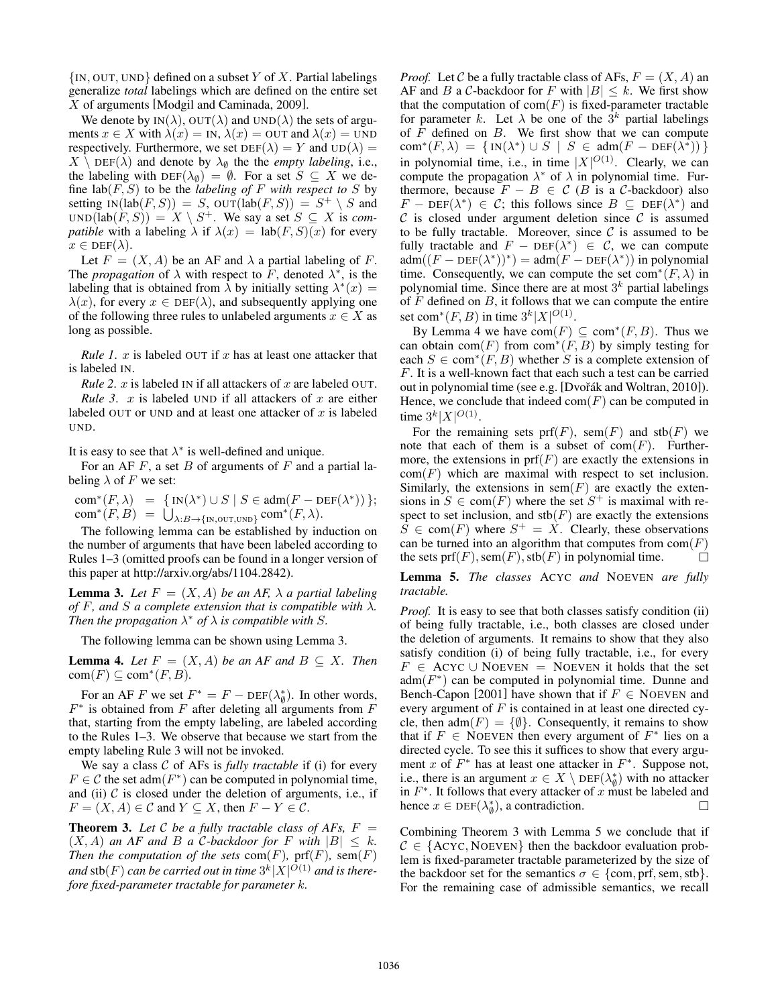$\{IN, OUT, UND\}$  defined on a subset Y of X. Partial labelings generalize *total* labelings which are defined on the entire set X of arguments [Modgil and Caminada, 2009].

We denote by  $IN(\lambda)$ ,  $OUT(\lambda)$  and  $UND(\lambda)$  the sets of arguments  $x \in X$  with  $\lambda(x) = IN$ ,  $\lambda(x) = OUT$  and  $\lambda(x) = UND$ respectively. Furthermore, we set  $DEF(\lambda) = Y$  and  $UD(\lambda) =$  $X \setminus \text{DEF}(\lambda)$  and denote by  $\lambda_{\emptyset}$  the the *empty labeling*, i.e., the labeling with  $DEF(\lambda_{\emptyset}) = \emptyset$ . For a set  $S \subseteq X$  we define  $\text{lab}(F, S)$  to be the *labeling of* F with respect to S by setting  $IN(lab(F, S)) = S$ ,  $OUT(lab(F, S)) = S^+ \setminus S$  and  $UND(lab(F, S)) = X \setminus S^+$ . We say a set  $S \subseteq X$  is *compatible* with a labeling  $\lambda$  if  $\lambda(x) = \text{lab}(F, S)(x)$  for every  $x \in \text{DEF}(\lambda).$ 

Let  $F = (X, A)$  be an AF and  $\lambda$  a partial labeling of F. The *propagation* of  $\lambda$  with respect to F, denoted  $\lambda^*$ , is the labeling that is obtained from  $\lambda$  by initially setting  $\lambda^*(x) =$  $\lambda(x)$ , for every  $x \in \text{DEF}(\lambda)$ , and subsequently applying one of the following three rules to unlabeled arguments  $x \in X$  as long as possible.

*Rule 1. x* is labeled OUT if x has at least one attacker that is labeled IN.

*Rule 2. x* is labeled IN if all attackers of x are labeled OUT. *Rule 3.*  $x$  is labeled UND if all attackers of  $x$  are either labeled OUT or UND and at least one attacker of  $x$  is labeled UND.

It is easy to see that  $\lambda^*$  is well-defined and unique.

For an AF  $F$ , a set  $B$  of arguments of  $F$  and a partial labeling  $\lambda$  of F we set:

com\* $(F, \lambda)$  = { $IN(\lambda^*) \cup S | S \in adm(F - DEF(\lambda^*))$ };  $com^*(F, B) = \bigcup_{\lambda:B \to \{\text{IN}, \text{OUT}, \text{UND}\}} com^*(F, \lambda).$ 

The following lemma can be established by induction on the number of arguments that have been labeled according to Rules 1–3 (omitted proofs can be found in a longer version of this paper at http://arxiv.org/abs/1104.2842).

**Lemma 3.** Let  $F = (X, A)$  be an AF,  $\lambda$  a partial labeling *of* F, and S a complete extension that is compatible with  $\lambda$ *. Then the propagation*  $\lambda^*$  *of*  $\lambda$  *is compatible with S*.

The following lemma can be shown using Lemma 3.

**Lemma 4.** Let  $F = (X, A)$  be an AF and  $B \subseteq X$ . Then  $com(F) \subseteq com^*(F, B)$ .

For an AF F we set  $F^* = F - \text{DEF}(\lambda^*_{\emptyset})$ . In other words,  $F^*$  is obtained from F after deleting all arguments from F that, starting from the empty labeling, are labeled according to the Rules 1–3. We observe that because we start from the empty labeling Rule 3 will not be invoked.

We say a class C of AFs is *fully tractable* if (i) for every  $F \in \mathcal{C}$  the set adm $(F^*)$  can be computed in polynomial time, and (ii)  $C$  is closed under the deletion of arguments, i.e., if  $F = (X, A) \in \mathcal{C}$  and  $Y \subseteq X$ , then  $F - Y \in \mathcal{C}$ .

**Theorem 3.** Let C be a fully tractable class of AFs,  $F =$  $(X, A)$  *an AF and B a C-backdoor for* F *with*  $|B| \leq k$ . *Then the computation of the sets*  $com(F)$ ,  $prf(F)$ ,  $sem(F)$ and  $\text{stb}(F)$  *can be carried out in time*  $3^k |X|^{O(1)}$  *and is therefore fixed-parameter tractable for parameter* k*.*

*Proof.* Let C be a fully tractable class of AFs,  $F = (X, A)$  and AF and B a C-backdoor for F with  $|B| \leq k$ . We first show that the computation of  $com(F)$  is fixed-parameter tractable for parameter k. Let  $\lambda$  be one of the  $3^k$  partial labelings of  $F$  defined on  $B$ . We first show that we can compute  $com^*(F, \lambda) = \{ IN(\lambda^*) \cup S \mid S \in adm(F - DEF(\lambda^*)) \}$ in polynomial time, i.e., in time  $|X|^{O(1)}$ . Clearly, we can compute the propagation  $\lambda^*$  of  $\lambda$  in polynomial time. Furthermore, because  $F - B \in C$  (B is a C-backdoor) also  $F - \text{DEF}(\lambda^*) \in \mathcal{C}$ ; this follows since  $B \subseteq \text{DEF}(\lambda^*)$  and  $\mathcal C$  is closed under argument deletion since  $\mathcal C$  is assumed to be fully tractable. Moreover, since  $\mathcal C$  is assumed to be fully tractable and  $F - \text{DEF}(\lambda^*) \in \mathcal{C}$ , we can compute  $adm((F - DEF(\lambda^*))^*) = adm(F - DEF(\lambda^*))$  in polynomial time. Consequently, we can compute the set com<sup>∗</sup>( $F, \lambda$ ) in polynomial time. Since there are at most  $3^k$  partial labelings of  $F$  defined on  $B$ , it follows that we can compute the entire set com<sup>∗</sup>(*F*, *B*) in time  $3^k |X|^{O(1)}$ .

By Lemma 4 we have  $com(F) \subseteq com^*(F, B)$ . Thus we can obtain com(F) from com<sup>∗</sup>(F, B) by simply testing for each  $S \in \text{com}^*(F, B)$  whether S is a complete extension of F. It is a well-known fact that each such a test can be carried out in polynomial time (see e.g. [Dvořák and Woltran, 2010]). Hence, we conclude that indeed  $com(F)$  can be computed in time  $3^k |X|^{O(1)}$ .

For the remaining sets  $prf(F)$ , sem $(F)$  and stb $(F)$  we note that each of them is a subset of  $com(F)$ . Furthermore, the extensions in  $prf(F)$  are exactly the extensions in  $com(F)$  which are maximal with respect to set inclusion. Similarly, the extensions in  $sem(F)$  are exactly the extensions in  $S \in \text{com}(F)$  where the set  $S^+$  is maximal with respect to set inclusion, and  $\text{stb}(F)$  are exactly the extensions  $S \in \text{com}(F)$  where  $S^+ = X$ . Clearly, these observations can be turned into an algorithm that computes from  $com(F)$ the sets  $prf(F)$ , sem $(F)$ , stb $(F)$  in polynomial time.  $\Box$ 

Lemma 5. *The classes* ACYC *and* NOEVEN *are fully tractable.*

*Proof.* It is easy to see that both classes satisfy condition (ii) of being fully tractable, i.e., both classes are closed under the deletion of arguments. It remains to show that they also satisfy condition (i) of being fully tractable, i.e., for every  $F \in ACYC \cup NoEVEN = NoEVEN$  it holds that the set  $adm(F^*)$  can be computed in polynomial time. Dunne and Bench-Capon [2001] have shown that if  $F \in$  NOEVEN and every argument of  $F$  is contained in at least one directed cycle, then  $adm(F) = \{\emptyset\}$ . Consequently, it remains to show that if  $F \in$  NOEVEN then every argument of  $F^*$  lies on a directed cycle. To see this it suffices to show that every argument x of  $F^*$  has at least one attacker in  $F^*$ . Suppose not, i.e., there is an argument  $x \in X \setminus \text{DEF}(\lambda^*_{\emptyset})$  with no attacker in  $F^*$ . It follows that every attacker of x must be labeled and hence  $x \in \text{DEF}(\lambda_{\emptyset}^*)$ , a contradiction.  $\Box$ 

Combining Theorem 3 with Lemma 5 we conclude that if  $C \in \{ACYC, NOEVEN\}$  then the backdoor evaluation problem is fixed-parameter tractable parameterized by the size of the backdoor set for the semantics  $\sigma \in \{\text{com}, \text{prf}, \text{sem}, \text{stb}\}.$ For the remaining case of admissible semantics, we recall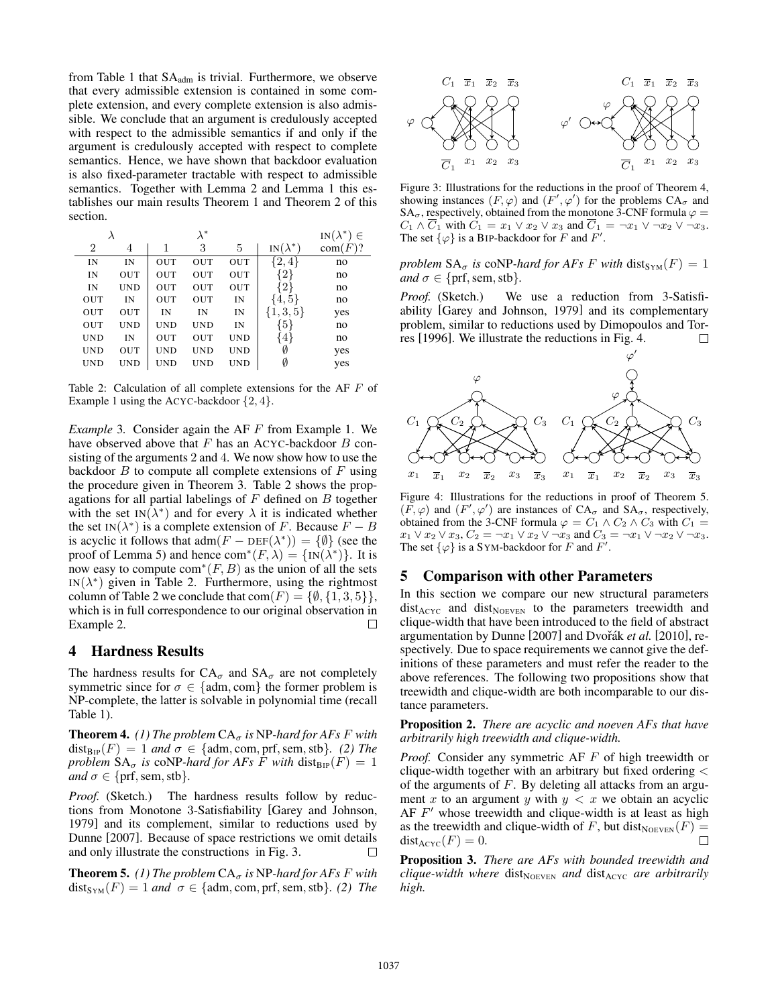from Table 1 that  $SA<sub>adm</sub>$  is trivial. Furthermore, we observe that every admissible extension is contained in some complete extension, and every complete extension is also admissible. We conclude that an argument is credulously accepted with respect to the admissible semantics if and only if the argument is credulously accepted with respect to complete semantics. Hence, we have shown that backdoor evaluation is also fixed-parameter tractable with respect to admissible semantics. Together with Lemma 2 and Lemma 1 this establishes our main results Theorem 1 and Theorem 2 of this section.

| λ              |            | $\lambda^*$ |            | $IN(\lambda^*) \in$ |                 |         |
|----------------|------------|-------------|------------|---------------------|-----------------|---------|
| $\overline{2}$ | 4          |             | 3          | 5                   | $IN(\lambda^*)$ | com(F)? |
| IN             | IN         | OUT         | OUT        | OUT                 | $\{2,4\}$       | no      |
| IN             | OUT        | OUT         | OUT        | OUT                 | {2}             | no      |
| IN             | <b>UND</b> | OUT         | OUT        | OUT                 | 2)              | no      |
| OUT            | IN         | OUT         | OUT        | IN                  | 4,5             | no      |
| OUT            | OUT        | IN          | IN         | IN                  | $\{1, 3, 5\}$   | yes     |
| OUT            | UND        | <b>UND</b>  | <b>UND</b> | IN                  | (5)             | no      |
| <b>UND</b>     | IN         | OUT         | OUT        | <b>UND</b>          | $4\}$           | no      |
| <b>UND</b>     | OUT        | <b>UND</b>  | <b>UND</b> | <b>UND</b>          | Ø               | yes     |
| <b>UND</b>     | <b>UND</b> | <b>UND</b>  | <b>UND</b> | <b>UND</b>          | Ø               | yes     |

Table 2: Calculation of all complete extensions for the AF F of Example 1 using the ACYC-backdoor  $\{2, 4\}$ .

*Example* 3*.* Consider again the AF F from Example 1. We have observed above that  $F$  has an ACYC-backdoor  $B$  consisting of the arguments 2 and 4. We now show how to use the backdoor  $B$  to compute all complete extensions of  $F$  using the procedure given in Theorem 3. Table 2 shows the propagations for all partial labelings of  $F$  defined on  $B$  together with the set IN( $\lambda^*$ ) and for every  $\lambda$  it is indicated whether the set IN( $\lambda^*$ ) is a complete extension of F. Because  $F - B$ is acyclic it follows that  $\text{adm}(F - \text{DEF}(\lambda^*)) = \{\emptyset\}$  (see the proof of Lemma 5) and hence  $com^*(F, \lambda) = \{IN(\lambda^*)\}$ . It is now easy to compute  $com^*(F, B)$  as the union of all the sets IN( $\lambda^*$ ) given in Table 2. Furthermore, using the rightmost column of Table 2 we conclude that  $com(F) = \{\emptyset, \{1, 3, 5\}\}\,$ which is in full correspondence to our original observation in Example 2. П

#### 4 Hardness Results

The hardness results for  $CA_{\sigma}$  and  $SA_{\sigma}$  are not completely symmetric since for  $\sigma \in \{\text{adm}, \text{com}\}\$  the former problem is NP-complete, the latter is solvable in polynomial time (recall Table 1).

**Theorem 4.** *(1) The problem*  $CA_{\sigma}$  *is* NP-hard for AFs F with  $dist_{\text{BIP}}(F)=1$  *and*  $\sigma \in \{\text{adm}, \text{com}, \text{prf}, \text{sem}, \text{stb}\}.$  (2) The *problem*  $SA_{\sigma}$  *is* coNP-hard for AFs F with dist<sub>BIP</sub>(F) = 1 *and*  $\sigma \in \{ \text{prf, sem, stb} \}.$ 

Proof. (Sketch.) The hardness results follow by reductions from Monotone 3-Satisfiability [Garey and Johnson, 1979] and its complement, similar to reductions used by Dunne [2007]. Because of space restrictions we omit details and only illustrate the constructions in Fig. 3. П

**Theorem 5.** *(1) The problem*  $CA_{\sigma}$  *is* NP-hard for AFs F with  $dist_{\text{SYM}}(F)=1$  *and*  $\sigma \in \{adm, com, prf, sem, stb\}.$  (2) *The* 



Figure 3: Illustrations for the reductions in the proof of Theorem 4, showing instances  $(F, \varphi)$  and  $(F', \varphi')$  for the problems  $CA_{\sigma}$  and SA<sub> $\sigma$ </sub>, respectively, obtained from the monotone 3-CNF formula  $\varphi =$  $C_1 \wedge \overline{C}_1$  with  $C_1 = x_1 \vee x_2 \vee x_3$  and  $\overline{C}_1 = \neg x_1 \vee \neg x_2 \vee \neg x_3$ . The set  $\{\varphi\}$  is a BIP-backdoor for F and F'.

*problem*  $SA_{\sigma}$  *is* coNP-*hard for AFs F with* dist<sub>SYM</sub> $(F)=1$ *and*  $\sigma \in \{ \text{prf}, \text{sem}, \text{stb} \}.$ 

*Proof.* (Sketch.) We use a reduction from 3-Satisfiability [Garey and Johnson, 1979] and its complementary problem, similar to reductions used by Dimopoulos and Torres [1996]. We illustrate the reductions in Fig. 4. П



Figure 4: Illustrations for the reductions in proof of Theorem 5.  $(F, \varphi)$  and  $(F', \varphi')$  are instances of  $CA_{\sigma}$  and  $SA_{\sigma}$ , respectively, obtained from the 3-CNF formula  $\varphi = C_1 \wedge C_2 \wedge C_3$  with  $C_1 =$  $x_1 \vee x_2 \vee x_3, C_2 = \neg x_1 \vee x_2 \vee \neg x_3$  and  $C_3 = \neg x_1 \vee \neg x_2 \vee \neg x_3$ . The set  $\{\varphi\}$  is a SYM-backdoor for F and F'.

# 5 Comparison with other Parameters

In this section we compare our new structural parameters  $dist_{ACYC}$  and  $dist_{NoEVEN}$  to the parameters treewidth and clique-width that have been introduced to the field of abstract argumentation by Dunne [2007] and Dvořák *et al.* [2010], respectively. Due to space requirements we cannot give the definitions of these parameters and must refer the reader to the above references. The following two propositions show that treewidth and clique-width are both incomparable to our distance parameters.

Proposition 2. *There are acyclic and noeven AFs that have arbitrarily high treewidth and clique-width.*

*Proof.* Consider any symmetric AF F of high treewidth or clique-width together with an arbitrary but fixed ordering < of the arguments of  $F$ . By deleting all attacks from an argument x to an argument y with  $y < x$  we obtain an acyclic AF  $F'$  whose treewidth and clique-width is at least as high as the treewidth and clique-width of F, but dist<sub>NOEVEN</sub> $(F)$  =  $dist_{ACYC}(F)=0.$  $\Box$ 

Proposition 3. *There are AFs with bounded treewidth and clique-width where* dist<sub>NOEVEN</sub> *and* dist<sub>ACYC</sub> *are arbitrarily high.*